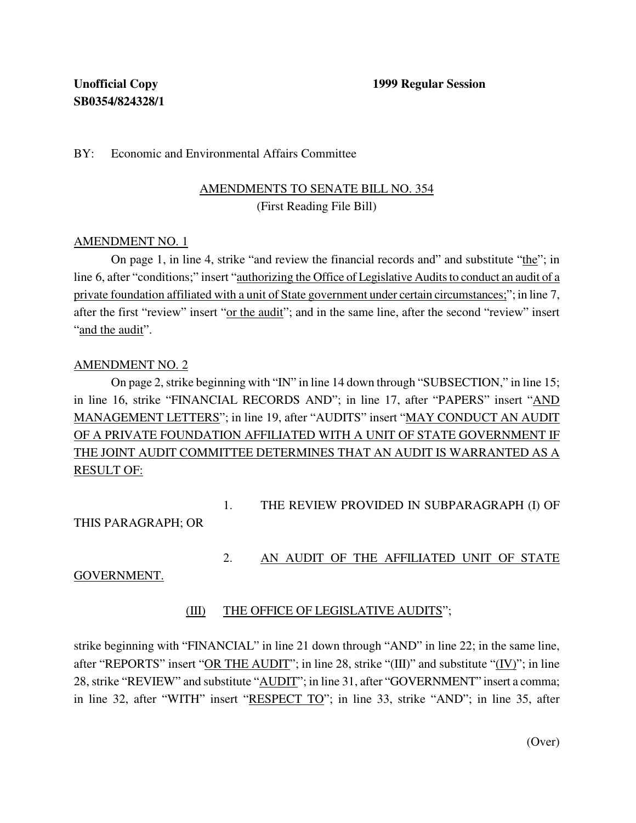#### BY: Economic and Environmental Affairs Committee

## AMENDMENTS TO SENATE BILL NO. 354 (First Reading File Bill)

#### AMENDMENT NO. 1

On page 1, in line 4, strike "and review the financial records and" and substitute "the"; in line 6, after "conditions;" insert "authorizing the Office of Legislative Audits to conduct an audit of a private foundation affiliated with a unit of State government under certain circumstances;"; in line 7, after the first "review" insert "or the audit"; and in the same line, after the second "review" insert "and the audit".

#### AMENDMENT NO. 2

On page 2, strike beginning with "IN" in line 14 down through "SUBSECTION," in line 15; in line 16, strike "FINANCIAL RECORDS AND"; in line 17, after "PAPERS" insert "AND MANAGEMENT LETTERS"; in line 19, after "AUDITS" insert "MAY CONDUCT AN AUDIT OF A PRIVATE FOUNDATION AFFILIATED WITH A UNIT OF STATE GOVERNMENT IF THE JOINT AUDIT COMMITTEE DETERMINES THAT AN AUDIT IS WARRANTED AS A RESULT OF:

1. THE REVIEW PROVIDED IN SUBPARAGRAPH (I) OF

THIS PARAGRAPH; OR

2. AN AUDIT OF THE AFFILIATED UNIT OF STATE

GOVERNMENT.

### (III) THE OFFICE OF LEGISLATIVE AUDITS";

strike beginning with "FINANCIAL" in line 21 down through "AND" in line 22; in the same line, after "REPORTS" insert "OR THE AUDIT"; in line 28, strike "(III)" and substitute "(IV)"; in line 28,strike "REVIEW" and substitute "AUDIT"; in line 31, after "GOVERNMENT" insert a comma; in line 32, after "WITH" insert "RESPECT TO"; in line 33, strike "AND"; in line 35, after